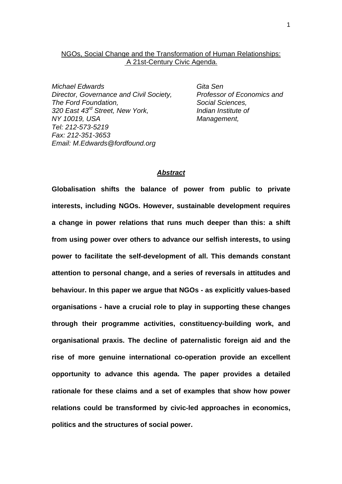# NGOs, Social Change and the Transformation of Human Relationships: A 21st-Century Civic Agenda.

*Michael Edwards Gita Sen Director, Governance and Civil Society, Professor of Economics and The Ford Foundation, Social Sciences, 320 East 43rd Street, New York, Indian Institute of NY 10019, USA Management, Tel: 212-573-5219 Fax: 212-351-3653 Email: M.Edwards@fordfound.org* 

### *Abstract*

**Globalisation shifts the balance of power from public to private interests, including NGOs. However, sustainable development requires a change in power relations that runs much deeper than this: a shift from using power over others to advance our selfish interests, to using power to facilitate the self-development of all. This demands constant attention to personal change, and a series of reversals in attitudes and behaviour. In this paper we argue that NGOs - as explicitly values-based organisations - have a crucial role to play in supporting these changes through their programme activities, constituency-building work, and organisational praxis. The decline of paternalistic foreign aid and the rise of more genuine international co-operation provide an excellent opportunity to advance this agenda. The paper provides a detailed rationale for these claims and a set of examples that show how power relations could be transformed by civic-led approaches in economics, politics and the structures of social power.**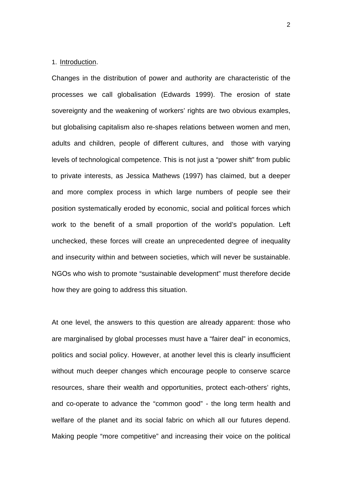## 1. Introduction.

Changes in the distribution of power and authority are characteristic of the processes we call globalisation (Edwards 1999). The erosion of state sovereignty and the weakening of workers' rights are two obvious examples, but globalising capitalism also re-shapes relations between women and men, adults and children, people of different cultures, and those with varying levels of technological competence. This is not just a "power shift" from public to private interests, as Jessica Mathews (1997) has claimed, but a deeper and more complex process in which large numbers of people see their position systematically eroded by economic, social and political forces which work to the benefit of a small proportion of the world's population. Left unchecked, these forces will create an unprecedented degree of inequality and insecurity within and between societies, which will never be sustainable. NGOs who wish to promote "sustainable development" must therefore decide how they are going to address this situation.

At one level, the answers to this question are already apparent: those who are marginalised by global processes must have a "fairer deal" in economics, politics and social policy. However, at another level this is clearly insufficient without much deeper changes which encourage people to conserve scarce resources, share their wealth and opportunities, protect each-others' rights, and co-operate to advance the "common good" - the long term health and welfare of the planet and its social fabric on which all our futures depend. Making people "more competitive" and increasing their voice on the political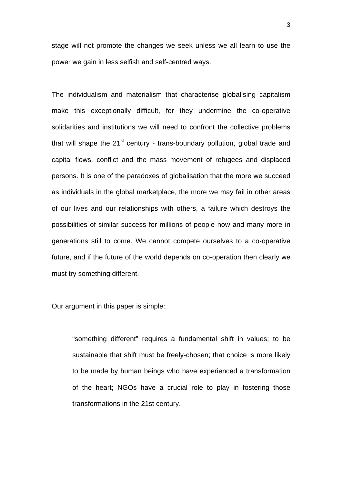stage will not promote the changes we seek unless we all learn to use the power we gain in less selfish and self-centred ways.

The individualism and materialism that characterise globalising capitalism make this exceptionally difficult, for they undermine the co-operative solidarities and institutions we will need to confront the collective problems that will shape the  $21^{st}$  century - trans-boundary pollution, global trade and capital flows, conflict and the mass movement of refugees and displaced persons. It is one of the paradoxes of globalisation that the more we succeed as individuals in the global marketplace, the more we may fail in other areas of our lives and our relationships with others, a failure which destroys the possibilities of similar success for millions of people now and many more in generations still to come. We cannot compete ourselves to a co-operative future, and if the future of the world depends on co-operation then clearly we must try something different.

Our argument in this paper is simple:

"something different" requires a fundamental shift in values; to be sustainable that shift must be freely-chosen; that choice is more likely to be made by human beings who have experienced a transformation of the heart; NGOs have a crucial role to play in fostering those transformations in the 21st century.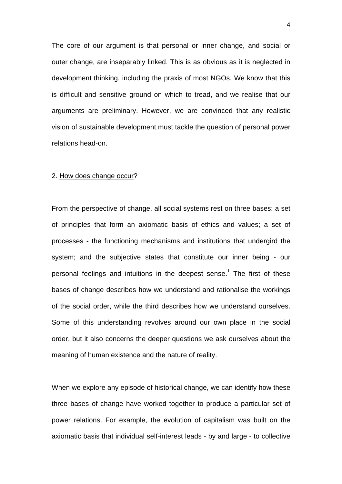The core of our argument is that personal or inner change, and social or outer change, are inseparably linked. This is as obvious as it is neglected in development thinking, including the praxis of most NGOs. We know that this is difficult and sensitive ground on which to tread, and we realise that our arguments are preliminary. However, we are convinced that any realistic vision of sustainable development must tackle the question of personal power relations head-on.

#### 2. How does change occur?

From the perspective of change, all social systems rest on three bases: a set of principles that form an axiomatic basis of ethics and values; a set of processes - the functioning mechanisms and institutions that undergird the system; and the subjective states that constitute our inner being - our personal feelings and intuitions in the deepest sense.<sup>1</sup> The first of these bases of change describes how we understand and rationalise the workings of the social order, while the third describes how we understand ourselves. Some of this understanding revolves around our own place in the social order, but it also concerns the deeper questions we ask ourselves about the meaning of human existence and the nature of reality.

When we explore any episode of historical change, we can identify how these three bases of change have worked together to produce a particular set of power relations. For example, the evolution of capitalism was built on the axiomatic basis that individual self-interest leads - by and large - to collective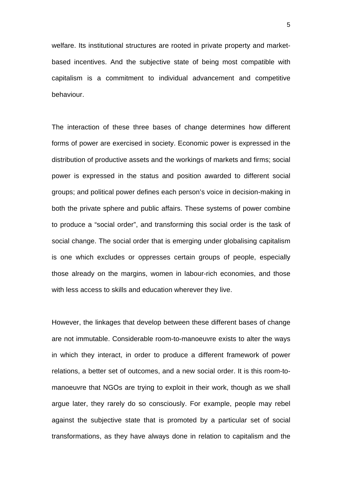welfare. Its institutional structures are rooted in private property and marketbased incentives. And the subjective state of being most compatible with capitalism is a commitment to individual advancement and competitive behaviour.

The interaction of these three bases of change determines how different forms of power are exercised in society. Economic power is expressed in the distribution of productive assets and the workings of markets and firms; social power is expressed in the status and position awarded to different social groups; and political power defines each person's voice in decision-making in both the private sphere and public affairs. These systems of power combine to produce a "social order", and transforming this social order is the task of social change. The social order that is emerging under globalising capitalism is one which excludes or oppresses certain groups of people, especially those already on the margins, women in labour-rich economies, and those with less access to skills and education wherever they live.

However, the linkages that develop between these different bases of change are not immutable. Considerable room-to-manoeuvre exists to alter the ways in which they interact, in order to produce a different framework of power relations, a better set of outcomes, and a new social order. It is this room-tomanoeuvre that NGOs are trying to exploit in their work, though as we shall argue later, they rarely do so consciously. For example, people may rebel against the subjective state that is promoted by a particular set of social transformations, as they have always done in relation to capitalism and the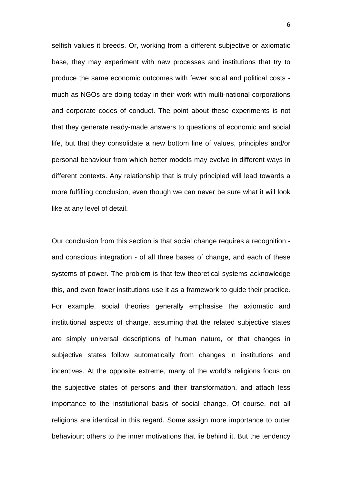selfish values it breeds. Or, working from a different subjective or axiomatic base, they may experiment with new processes and institutions that try to produce the same economic outcomes with fewer social and political costs much as NGOs are doing today in their work with multi-national corporations and corporate codes of conduct. The point about these experiments is not that they generate ready-made answers to questions of economic and social life, but that they consolidate a new bottom line of values, principles and/or personal behaviour from which better models may evolve in different ways in different contexts. Any relationship that is truly principled will lead towards a more fulfilling conclusion, even though we can never be sure what it will look like at any level of detail.

Our conclusion from this section is that social change requires a recognition and conscious integration - of all three bases of change, and each of these systems of power. The problem is that few theoretical systems acknowledge this, and even fewer institutions use it as a framework to guide their practice. For example, social theories generally emphasise the axiomatic and institutional aspects of change, assuming that the related subjective states are simply universal descriptions of human nature, or that changes in subjective states follow automatically from changes in institutions and incentives. At the opposite extreme, many of the world's religions focus on the subjective states of persons and their transformation, and attach less importance to the institutional basis of social change. Of course, not all religions are identical in this regard. Some assign more importance to outer behaviour; others to the inner motivations that lie behind it. But the tendency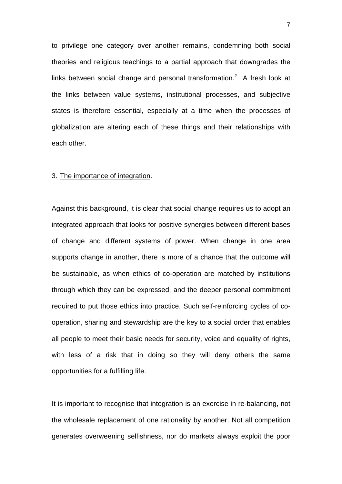to privilege one category over another remains, condemning both social theories and religious teachings to a partial approach that downgrades the links between social change and personal transformation.<sup>2</sup> A fresh look at the links between value systems, institutional processes, and subjective states is therefore essential, especially at a time when the processes of globalization are altering each of these things and their relationships with each other.

### 3. The importance of integration.

Against this background, it is clear that social change requires us to adopt an integrated approach that looks for positive synergies between different bases of change and different systems of power. When change in one area supports change in another, there is more of a chance that the outcome will be sustainable, as when ethics of co-operation are matched by institutions through which they can be expressed, and the deeper personal commitment required to put those ethics into practice. Such self-reinforcing cycles of cooperation, sharing and stewardship are the key to a social order that enables all people to meet their basic needs for security, voice and equality of rights, with less of a risk that in doing so they will deny others the same opportunities for a fulfilling life.

It is important to recognise that integration is an exercise in re-balancing, not the wholesale replacement of one rationality by another. Not all competition generates overweening selfishness, nor do markets always exploit the poor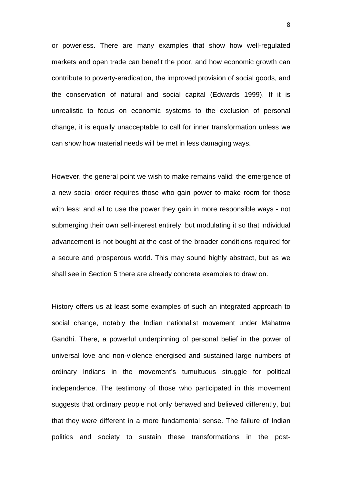or powerless. There are many examples that show how well-regulated markets and open trade can benefit the poor, and how economic growth can contribute to poverty-eradication, the improved provision of social goods, and the conservation of natural and social capital (Edwards 1999). If it is unrealistic to focus on economic systems to the exclusion of personal change, it is equally unacceptable to call for inner transformation unless we can show how material needs will be met in less damaging ways.

However, the general point we wish to make remains valid: the emergence of a new social order requires those who gain power to make room for those with less; and all to use the power they gain in more responsible ways - not submerging their own self-interest entirely, but modulating it so that individual advancement is not bought at the cost of the broader conditions required for a secure and prosperous world. This may sound highly abstract, but as we shall see in Section 5 there are already concrete examples to draw on.

History offers us at least some examples of such an integrated approach to social change, notably the Indian nationalist movement under Mahatma Gandhi. There, a powerful underpinning of personal belief in the power of universal love and non-violence energised and sustained large numbers of ordinary Indians in the movement's tumultuous struggle for political independence. The testimony of those who participated in this movement suggests that ordinary people not only behaved and believed differently, but that they *were* different in a more fundamental sense. The failure of Indian politics and society to sustain these transformations in the post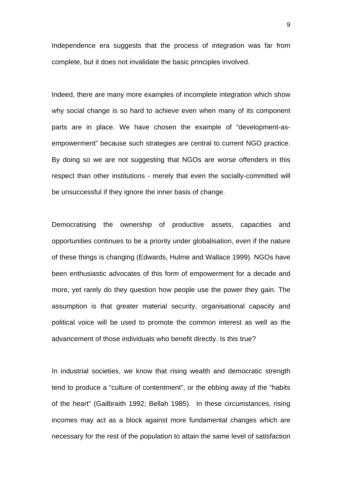Independence era suggests that the process of integration was far from complete, but it does not invalidate the basic principles involved.

Indeed, there are many more examples of incomplete integration which show why social change is so hard to achieve even when many of its component parts are in place. We have chosen the example of "development-asempowerment" because such strategies are central to current NGO practice. By doing so we are not suggesting that NGOs are worse offenders in this respect than other institutions - merely that even the socially-committed will be unsuccessful if they ignore the inner basis of change.

Democratising the ownership of productive assets, capacities and opportunities continues to be a priority under globalisation, even if the nature of these things is changing (Edwards, Hulme and Wallace 1999). NGOs have been enthusiastic advocates of this form of empowerment for a decade and more, yet rarely do they question how people use the power they gain. The assumption is that greater material security, organisational capacity and political voice will be used to promote the common interest as well as the advancement of those individuals who benefit directly. Is this true?

In industrial societies, we know that rising wealth and democratic strength tend to produce a "culture of contentment", or the ebbing away of the "habits of the heart" (Gailbraith 1992; Bellah 1985). In these circumstances, rising incomes may act as a block against more fundamental changes which are necessary for the rest of the population to attain the same level of satisfaction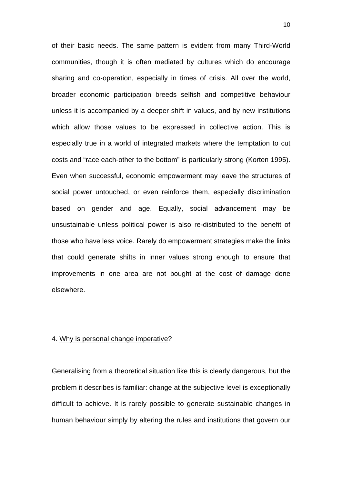of their basic needs. The same pattern is evident from many Third-World communities, though it is often mediated by cultures which do encourage sharing and co-operation, especially in times of crisis. All over the world, broader economic participation breeds selfish and competitive behaviour unless it is accompanied by a deeper shift in values, and by new institutions which allow those values to be expressed in collective action. This is especially true in a world of integrated markets where the temptation to cut costs and "race each-other to the bottom" is particularly strong (Korten 1995). Even when successful, economic empowerment may leave the structures of social power untouched, or even reinforce them, especially discrimination based on gender and age. Equally, social advancement may be unsustainable unless political power is also re-distributed to the benefit of those who have less voice. Rarely do empowerment strategies make the links that could generate shifts in inner values strong enough to ensure that improvements in one area are not bought at the cost of damage done elsewhere.

#### 4. Why is personal change imperative?

Generalising from a theoretical situation like this is clearly dangerous, but the problem it describes is familiar: change at the subjective level is exceptionally difficult to achieve. It is rarely possible to generate sustainable changes in human behaviour simply by altering the rules and institutions that govern our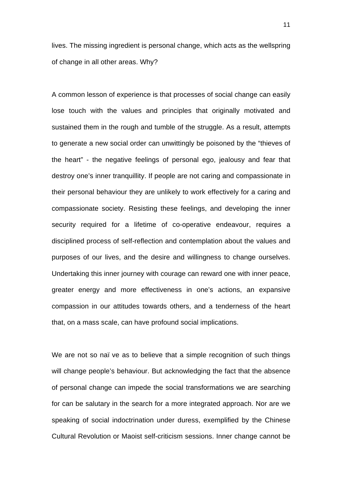lives. The missing ingredient is personal change, which acts as the wellspring of change in all other areas. Why?

A common lesson of experience is that processes of social change can easily lose touch with the values and principles that originally motivated and sustained them in the rough and tumble of the struggle. As a result, attempts to generate a new social order can unwittingly be poisoned by the "thieves of the heart" - the negative feelings of personal ego, jealousy and fear that destroy one's inner tranquillity. If people are not caring and compassionate in their personal behaviour they are unlikely to work effectively for a caring and compassionate society. Resisting these feelings, and developing the inner security required for a lifetime of co-operative endeavour, requires a disciplined process of self-reflection and contemplation about the values and purposes of our lives, and the desire and willingness to change ourselves. Undertaking this inner journey with courage can reward one with inner peace, greater energy and more effectiveness in one's actions, an expansive compassion in our attitudes towards others, and a tenderness of the heart that, on a mass scale, can have profound social implications.

We are not so naï ve as to believe that a simple recognition of such things will change people's behaviour. But acknowledging the fact that the absence of personal change can impede the social transformations we are searching for can be salutary in the search for a more integrated approach. Nor are we speaking of social indoctrination under duress, exemplified by the Chinese Cultural Revolution or Maoist self-criticism sessions. Inner change cannot be

11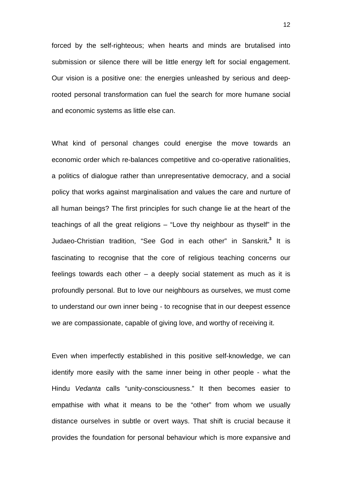forced by the self-righteous; when hearts and minds are brutalised into submission or silence there will be little energy left for social engagement. Our vision is a positive one: the energies unleashed by serious and deeprooted personal transformation can fuel the search for more humane social and economic systems as little else can.

What kind of personal changes could energise the move towards an economic order which re-balances competitive and co-operative rationalities, a politics of dialogue rather than unrepresentative democracy, and a social policy that works against marginalisation and values the care and nurture of all human beings? The first principles for such change lie at the heart of the teachings of all the great religions – "Love thy neighbour as thyself" in the Judaeo-Christian tradition, "See God in each other" in Sanskrit**. 3** It is fascinating to recognise that the core of religious teaching concerns our feelings towards each other – a deeply social statement as much as it is profoundly personal. But to love our neighbours as ourselves, we must come to understand our own inner being - to recognise that in our deepest essence we are compassionate, capable of giving love, and worthy of receiving it.

Even when imperfectly established in this positive self-knowledge, we can identify more easily with the same inner being in other people - what the Hindu *Vedanta* calls "unity-consciousness." It then becomes easier to empathise with what it means to be the "other" from whom we usually distance ourselves in subtle or overt ways. That shift is crucial because it provides the foundation for personal behaviour which is more expansive and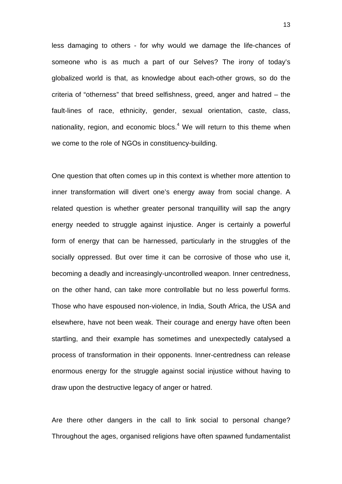less damaging to others - for why would we damage the life-chances of someone who is as much a part of our Selves? The irony of today's globalized world is that, as knowledge about each-other grows, so do the criteria of "otherness" that breed selfishness, greed, anger and hatred – the fault-lines of race, ethnicity, gender, sexual orientation, caste, class, nationality, region, and economic blocs. $<sup>4</sup>$  We will return to this theme when</sup> we come to the role of NGOs in constituency-building.

One question that often comes up in this context is whether more attention to inner transformation will divert one's energy away from social change. A related question is whether greater personal tranquillity will sap the angry energy needed to struggle against injustice. Anger is certainly a powerful form of energy that can be harnessed, particularly in the struggles of the socially oppressed. But over time it can be corrosive of those who use it, becoming a deadly and increasingly-uncontrolled weapon. Inner centredness, on the other hand, can take more controllable but no less powerful forms. Those who have espoused non-violence, in India, South Africa, the USA and elsewhere, have not been weak. Their courage and energy have often been startling, and their example has sometimes and unexpectedly catalysed a process of transformation in their opponents. Inner-centredness can release enormous energy for the struggle against social injustice without having to draw upon the destructive legacy of anger or hatred.

Are there other dangers in the call to link social to personal change? Throughout the ages, organised religions have often spawned fundamentalist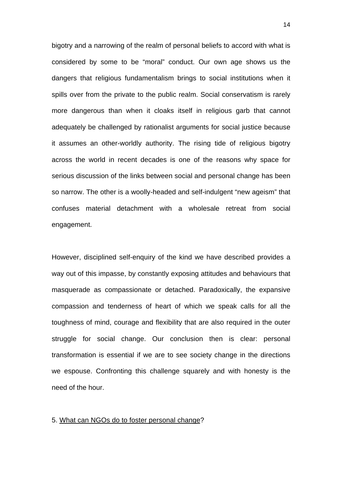bigotry and a narrowing of the realm of personal beliefs to accord with what is considered by some to be "moral" conduct. Our own age shows us the dangers that religious fundamentalism brings to social institutions when it spills over from the private to the public realm. Social conservatism is rarely more dangerous than when it cloaks itself in religious garb that cannot adequately be challenged by rationalist arguments for social justice because it assumes an other-worldly authority. The rising tide of religious bigotry across the world in recent decades is one of the reasons why space for serious discussion of the links between social and personal change has been so narrow. The other is a woolly-headed and self-indulgent "new ageism" that confuses material detachment with a wholesale retreat from social engagement.

However, disciplined self-enquiry of the kind we have described provides a way out of this impasse, by constantly exposing attitudes and behaviours that masquerade as compassionate or detached. Paradoxically, the expansive compassion and tenderness of heart of which we speak calls for all the toughness of mind, courage and flexibility that are also required in the outer struggle for social change. Our conclusion then is clear: personal transformation is essential if we are to see society change in the directions we espouse. Confronting this challenge squarely and with honesty is the need of the hour.

#### 5. What can NGOs do to foster personal change?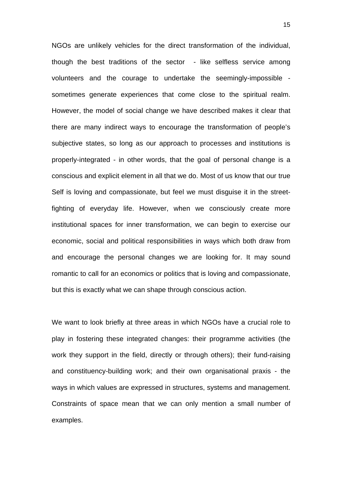NGOs are unlikely vehicles for the direct transformation of the individual, though the best traditions of the sector - like selfless service among volunteers and the courage to undertake the seemingly-impossible sometimes generate experiences that come close to the spiritual realm. However, the model of social change we have described makes it clear that there are many indirect ways to encourage the transformation of people's subjective states, so long as our approach to processes and institutions is properly-integrated - in other words, that the goal of personal change is a conscious and explicit element in all that we do. Most of us know that our true Self is loving and compassionate, but feel we must disguise it in the streetfighting of everyday life. However, when we consciously create more institutional spaces for inner transformation, we can begin to exercise our economic, social and political responsibilities in ways which both draw from and encourage the personal changes we are looking for. It may sound romantic to call for an economics or politics that is loving and compassionate, but this is exactly what we can shape through conscious action.

We want to look briefly at three areas in which NGOs have a crucial role to play in fostering these integrated changes: their programme activities (the work they support in the field, directly or through others); their fund-raising and constituency-building work; and their own organisational praxis - the ways in which values are expressed in structures, systems and management. Constraints of space mean that we can only mention a small number of examples.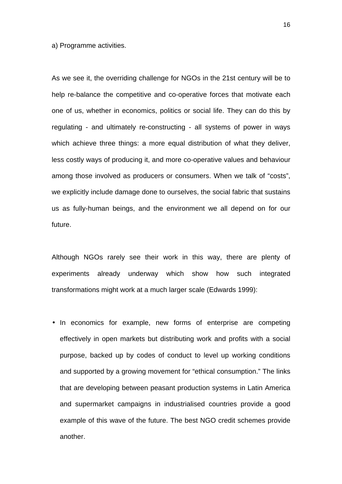a) Programme activities.

As we see it, the overriding challenge for NGOs in the 21st century will be to help re-balance the competitive and co-operative forces that motivate each one of us, whether in economics, politics or social life. They can do this by regulating - and ultimately re-constructing - all systems of power in ways which achieve three things: a more equal distribution of what they deliver, less costly ways of producing it, and more co-operative values and behaviour among those involved as producers or consumers. When we talk of "costs", we explicitly include damage done to ourselves, the social fabric that sustains us as fully-human beings, and the environment we all depend on for our future.

Although NGOs rarely see their work in this way, there are plenty of experiments already underway which show how such integrated transformations might work at a much larger scale (Edwards 1999):

• In economics for example, new forms of enterprise are competing effectively in open markets but distributing work and profits with a social purpose, backed up by codes of conduct to level up working conditions and supported by a growing movement for "ethical consumption." The links that are developing between peasant production systems in Latin America and supermarket campaigns in industrialised countries provide a good example of this wave of the future. The best NGO credit schemes provide another.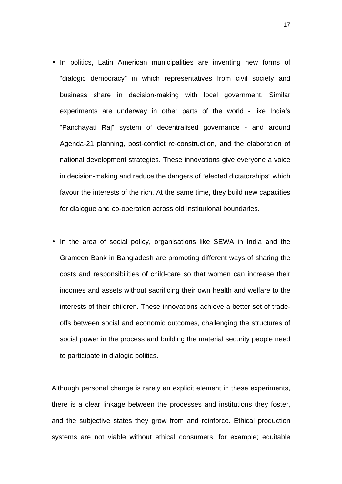- In politics, Latin American municipalities are inventing new forms of "dialogic democracy" in which representatives from civil society and business share in decision-making with local government. Similar experiments are underway in other parts of the world - like India's "Panchayati Raj" system of decentralised governance - and around Agenda-21 planning, post-conflict re-construction, and the elaboration of national development strategies. These innovations give everyone a voice in decision-making and reduce the dangers of "elected dictatorships" which favour the interests of the rich. At the same time, they build new capacities for dialogue and co-operation across old institutional boundaries.
- In the area of social policy, organisations like SEWA in India and the Grameen Bank in Bangladesh are promoting different ways of sharing the costs and responsibilities of child-care so that women can increase their incomes and assets without sacrificing their own health and welfare to the interests of their children. These innovations achieve a better set of tradeoffs between social and economic outcomes, challenging the structures of social power in the process and building the material security people need to participate in dialogic politics.

Although personal change is rarely an explicit element in these experiments, there is a clear linkage between the processes and institutions they foster, and the subjective states they grow from and reinforce. Ethical production systems are not viable without ethical consumers, for example; equitable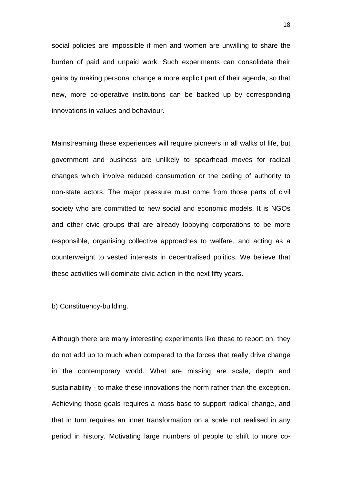social policies are impossible if men and women are unwilling to share the burden of paid and unpaid work. Such experiments can consolidate their gains by making personal change a more explicit part of their agenda, so that new, more co-operative institutions can be backed up by corresponding innovations in values and behaviour.

Mainstreaming these experiences will require pioneers in all walks of life, but government and business are unlikely to spearhead moves for radical changes which involve reduced consumption or the ceding of authority to non-state actors. The major pressure must come from those parts of civil society who are committed to new social and economic models. It is NGOs and other civic groups that are already lobbying corporations to be more responsible, organising collective approaches to welfare, and acting as a counterweight to vested interests in decentralised politics. We believe that these activities will dominate civic action in the next fifty years.

b) Constituency-building.

Although there are many interesting experiments like these to report on, they do not add up to much when compared to the forces that really drive change in the contemporary world. What are missing are scale, depth and sustainability - to make these innovations the norm rather than the exception. Achieving those goals requires a mass base to support radical change, and that in turn requires an inner transformation on a scale not realised in any period in history. Motivating large numbers of people to shift to more co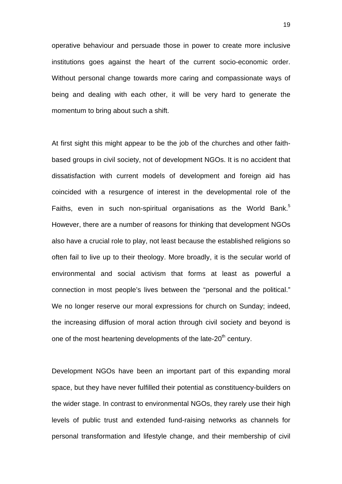operative behaviour and persuade those in power to create more inclusive institutions goes against the heart of the current socio-economic order. Without personal change towards more caring and compassionate ways of being and dealing with each other, it will be very hard to generate the momentum to bring about such a shift.

At first sight this might appear to be the job of the churches and other faithbased groups in civil society, not of development NGOs. It is no accident that dissatisfaction with current models of development and foreign aid has coincided with a resurgence of interest in the developmental role of the Faiths, even in such non-spiritual organisations as the World Bank.<sup>5</sup> However, there are a number of reasons for thinking that development NGOs also have a crucial role to play, not least because the established religions so often fail to live up to their theology. More broadly, it is the secular world of environmental and social activism that forms at least as powerful a connection in most people's lives between the "personal and the political." We no longer reserve our moral expressions for church on Sunday; indeed, the increasing diffusion of moral action through civil society and beyond is one of the most heartening developments of the late-20<sup>th</sup> century.

Development NGOs have been an important part of this expanding moral space, but they have never fulfilled their potential as constituency-builders on the wider stage. In contrast to environmental NGOs, they rarely use their high levels of public trust and extended fund-raising networks as channels for personal transformation and lifestyle change, and their membership of civil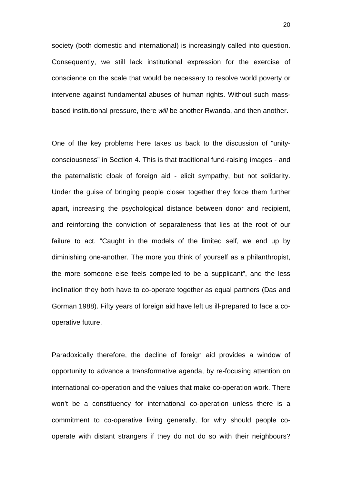society (both domestic and international) is increasingly called into question. Consequently, we still lack institutional expression for the exercise of conscience on the scale that would be necessary to resolve world poverty or intervene against fundamental abuses of human rights. Without such massbased institutional pressure, there *will* be another Rwanda, and then another.

One of the key problems here takes us back to the discussion of "unityconsciousness" in Section 4. This is that traditional fund-raising images - and the paternalistic cloak of foreign aid - elicit sympathy, but not solidarity. Under the guise of bringing people closer together they force them further apart, increasing the psychological distance between donor and recipient, and reinforcing the conviction of separateness that lies at the root of our failure to act. "Caught in the models of the limited self, we end up by diminishing one-another. The more you think of yourself as a philanthropist, the more someone else feels compelled to be a supplicant", and the less inclination they both have to co-operate together as equal partners (Das and Gorman 1988). Fifty years of foreign aid have left us ill-prepared to face a cooperative future.

Paradoxically therefore, the decline of foreign aid provides a window of opportunity to advance a transformative agenda, by re-focusing attention on international co-operation and the values that make co-operation work. There won't be a constituency for international co-operation unless there is a commitment to co-operative living generally, for why should people cooperate with distant strangers if they do not do so with their neighbours?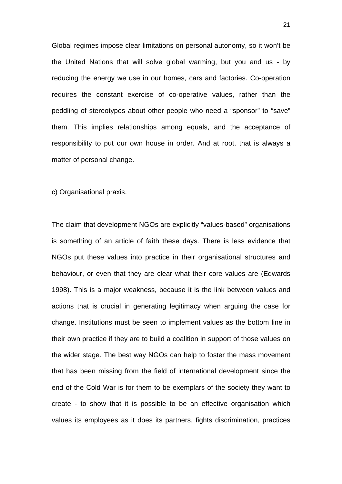Global regimes impose clear limitations on personal autonomy, so it won't be the United Nations that will solve global warming, but you and us - by reducing the energy we use in our homes, cars and factories. Co-operation requires the constant exercise of co-operative values, rather than the peddling of stereotypes about other people who need a "sponsor" to "save" them. This implies relationships among equals, and the acceptance of responsibility to put our own house in order. And at root, that is always a matter of personal change.

c) Organisational praxis.

The claim that development NGOs are explicitly "values-based" organisations is something of an article of faith these days. There is less evidence that NGOs put these values into practice in their organisational structures and behaviour, or even that they are clear what their core values are (Edwards 1998). This is a major weakness, because it is the link between values and actions that is crucial in generating legitimacy when arguing the case for change. Institutions must be seen to implement values as the bottom line in their own practice if they are to build a coalition in support of those values on the wider stage. The best way NGOs can help to foster the mass movement that has been missing from the field of international development since the end of the Cold War is for them to be exemplars of the society they want to create - to show that it is possible to be an effective organisation which values its employees as it does its partners, fights discrimination, practices

21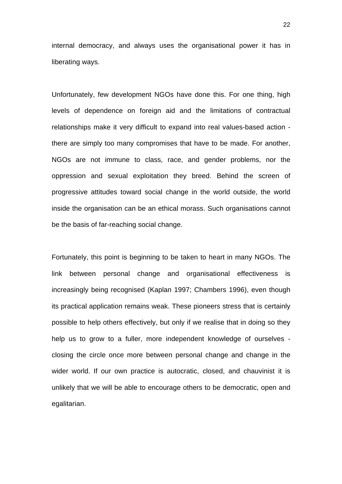internal democracy, and always uses the organisational power it has in liberating ways.

Unfortunately, few development NGOs have done this. For one thing, high levels of dependence on foreign aid and the limitations of contractual relationships make it very difficult to expand into real values-based action there are simply too many compromises that have to be made. For another, NGOs are not immune to class, race, and gender problems, nor the oppression and sexual exploitation they breed. Behind the screen of progressive attitudes toward social change in the world outside, the world inside the organisation can be an ethical morass. Such organisations cannot be the basis of far-reaching social change.

Fortunately, this point is beginning to be taken to heart in many NGOs. The link between personal change and organisational effectiveness is increasingly being recognised (Kaplan 1997; Chambers 1996), even though its practical application remains weak. These pioneers stress that is certainly possible to help others effectively, but only if we realise that in doing so they help us to grow to a fuller, more independent knowledge of ourselves closing the circle once more between personal change and change in the wider world. If our own practice is autocratic, closed, and chauvinist it is unlikely that we will be able to encourage others to be democratic, open and egalitarian.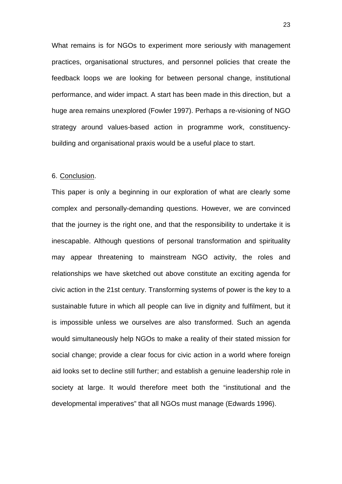What remains is for NGOs to experiment more seriously with management practices, organisational structures, and personnel policies that create the feedback loops we are looking for between personal change, institutional performance, and wider impact. A start has been made in this direction, but a huge area remains unexplored (Fowler 1997). Perhaps a re-visioning of NGO strategy around values-based action in programme work, constituencybuilding and organisational praxis would be a useful place to start.

#### 6. Conclusion.

This paper is only a beginning in our exploration of what are clearly some complex and personally-demanding questions. However, we are convinced that the journey is the right one, and that the responsibility to undertake it is inescapable. Although questions of personal transformation and spirituality may appear threatening to mainstream NGO activity, the roles and relationships we have sketched out above constitute an exciting agenda for civic action in the 21st century. Transforming systems of power is the key to a sustainable future in which all people can live in dignity and fulfilment, but it is impossible unless we ourselves are also transformed. Such an agenda would simultaneously help NGOs to make a reality of their stated mission for social change; provide a clear focus for civic action in a world where foreign aid looks set to decline still further; and establish a genuine leadership role in society at large. It would therefore meet both the "institutional and the developmental imperatives" that all NGOs must manage (Edwards 1996).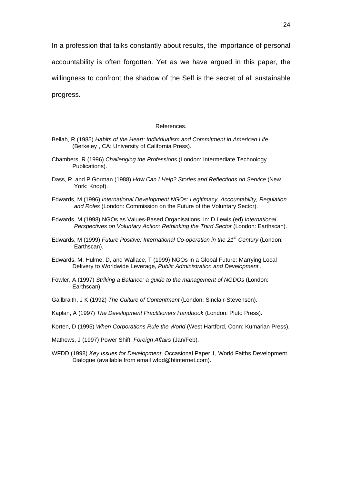In a profession that talks constantly about results, the importance of personal accountability is often forgotten. Yet as we have argued in this paper, the willingness to confront the shadow of the Self is the secret of all sustainable progress.

#### References.

- Bellah, R (1985) *Habits of the Heart: Individualism and Commitment in American Life* (Berkeley , CA: University of California Press).
- Chambers, R (1996) *Challenging the Professions* (London: Intermediate Technology Publications).
- Dass, R. and P.Gorman (1988) *How Can I Help? Stories and Reflections on Service* (New York: Knopf).
- Edwards, M (1996) *International Development NGOs: Legitimacy, Accountability, Regulation and Roles* (London: Commission on the Future of the Voluntary Sector).
- Edwards, M (1998) NGOs as Values-Based Organisations, in: D.Lewis (ed) *International Perspectives on Voluntary Action: Rethinking the Third Sector* (London: Earthscan).
- Edwards, M (1999) *Future Positive: International Co-operation in the 21st Century* (London: Earthscan).
- Edwards, M, Hulme, D, and Wallace, T (1999) NGOs in a Global Future: Marrying Local Delivery to Worldwide Leverage, *Public Administration and Development* .
- Fowler, A (1997) *Striking a Balance: a guide to the management of NGDOs* (London: Earthscan).
- Gailbraith, J K (1992) *The Culture of Contentment* (London: Sinclair-Stevenson).
- Kaplan, A (1997) *The Development Practitioners Handbook* (London: Pluto Press).
- Korten, D (1995) *When Corporations Rule the World* (West Hartford, Conn: Kumarian Press).
- Mathews, J (1997) Power Shift, *Foreign Affairs* (Jan/Feb).
- WFDD (1998) *Key Issues for Development*, Occasional Paper 1, World Faiths Development Dialogue (available from email wfdd@btinternet.com).